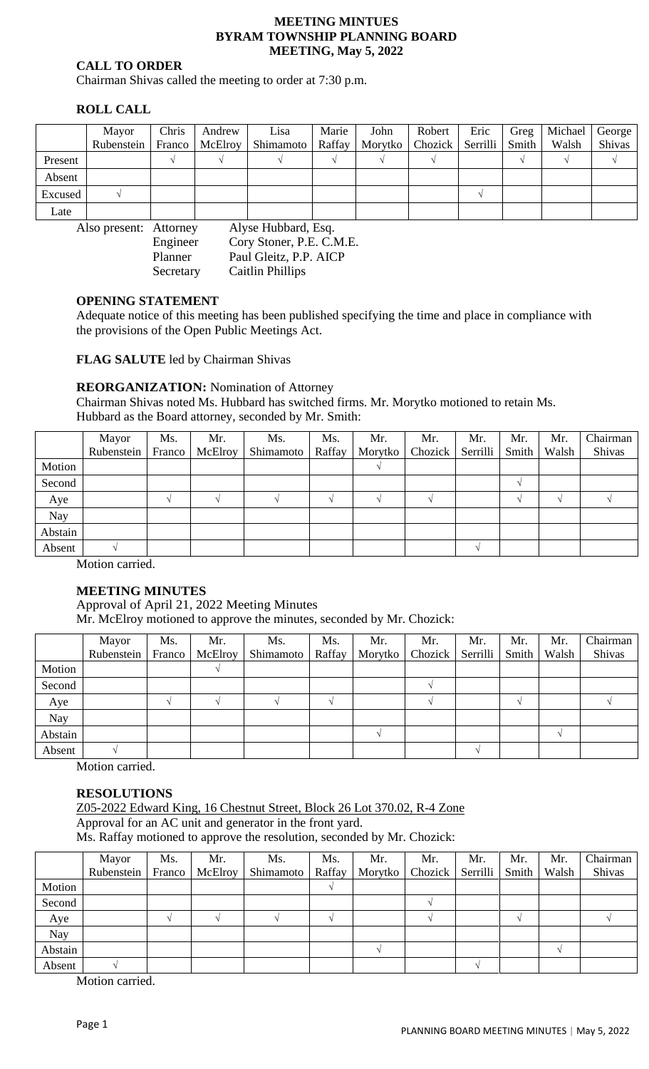#### **MEETING MINTUES BYRAM TOWNSHIP PLANNING BOARD MEETING, May 5, 2022**

### **CALL TO ORDER**

Chairman Shivas called the meeting to order at 7:30 p.m.

# **ROLL CALL**

|         | Mayor                                         | Chris  | Andrew  | Lisa               | Marie | John           | Robert           | Eric | Greg  | Michael | George |  |  |
|---------|-----------------------------------------------|--------|---------|--------------------|-------|----------------|------------------|------|-------|---------|--------|--|--|
|         | Rubenstein                                    | Franco | McElroy | Shimamoto   Raffay |       | <b>Morytko</b> | Chozick Serrilli |      | Smith | Walsh   | Shivas |  |  |
| Present |                                               |        |         |                    |       |                |                  |      |       |         |        |  |  |
| Absent  |                                               |        |         |                    |       |                |                  |      |       |         |        |  |  |
| Excused |                                               |        |         |                    |       |                |                  |      |       |         |        |  |  |
| Late    |                                               |        |         |                    |       |                |                  |      |       |         |        |  |  |
|         | Alyse Hubbard, Esq.<br>Also present: Attorney |        |         |                    |       |                |                  |      |       |         |        |  |  |

Engineer Cory Stoner, P.E. C.M.E. Planner Paul Gleitz, P.P. AICP Secretary Caitlin Phillips

### **OPENING STATEMENT**

Adequate notice of this meeting has been published specifying the time and place in compliance with the provisions of the Open Public Meetings Act.

**FLAG SALUTE** led by Chairman Shivas

## **REORGANIZATION:** Nomination of Attorney

Chairman Shivas noted Ms. Hubbard has switched firms. Mr. Morytko motioned to retain Ms. Hubbard as the Board attorney, seconded by Mr. Smith:

|            | Mayor<br>Rubenstein | Ms.<br>Franco | Mr.<br>McElroy | Ms.<br>Shimamoto | Ms.<br>Raffay | Mr.<br>Morytko | Mr.<br>Chozick | Mr.<br>Serrilli | Mr.<br>Smith | Mr.<br>Walsh | Chairman<br>Shivas |
|------------|---------------------|---------------|----------------|------------------|---------------|----------------|----------------|-----------------|--------------|--------------|--------------------|
| Motion     |                     |               |                |                  |               |                |                |                 |              |              |                    |
| Second     |                     |               |                |                  |               |                |                |                 |              |              |                    |
| Aye        |                     |               |                |                  |               |                |                |                 |              |              |                    |
| <b>Nay</b> |                     |               |                |                  |               |                |                |                 |              |              |                    |
| Abstain    |                     |               |                |                  |               |                |                |                 |              |              |                    |
| Absent     |                     |               |                |                  |               |                |                |                 |              |              |                    |

Motion carried.

### **MEETING MINUTES**

Approval of April 21, 2022 Meeting Minutes

Mr. McElroy motioned to approve the minutes, seconded by Mr. Chozick:

|         | Mayor<br>Rubenstein | Ms.<br>Franco | Mr.<br>McElroy | Ms.<br>Shimamoto | Ms.<br>Raffay | Mr.<br>Morytko | Mr.<br>Chozick | Mr.<br>Serrilli | Mr.<br>Smith | Mr.<br>Walsh | Chairman<br>Shivas |
|---------|---------------------|---------------|----------------|------------------|---------------|----------------|----------------|-----------------|--------------|--------------|--------------------|
| Motion  |                     |               |                |                  |               |                |                |                 |              |              |                    |
| Second  |                     |               |                |                  |               |                |                |                 |              |              |                    |
| Aye     |                     |               |                |                  |               |                |                |                 |              |              |                    |
| Nay     |                     |               |                |                  |               |                |                |                 |              |              |                    |
| Abstain |                     |               |                |                  |               |                |                |                 |              |              |                    |
| Absent  |                     |               |                |                  |               |                |                |                 |              |              |                    |

Motion carried.

### **RESOLUTIONS**

Z05-2022 Edward King, 16 Chestnut Street, Block 26 Lot 370.02, R-4 Zone Approval for an AC unit and generator in the front yard. Ms. Raffay motioned to approve the resolution, seconded by Mr. Chozick:

|            | Mayor<br>Rubenstein | Ms.<br>Franco | Mr.<br><b>McElroy</b> | Ms.<br>Shimamoto | Ms.<br>Raffay | Mr.<br>Morytko | Mr.<br>Chozick | Mr.<br>Serrilli | Mr.<br>Smith | Mr.<br>Walsh | Chairman<br>Shivas |
|------------|---------------------|---------------|-----------------------|------------------|---------------|----------------|----------------|-----------------|--------------|--------------|--------------------|
| Motion     |                     |               |                       |                  |               |                |                |                 |              |              |                    |
| Second     |                     |               |                       |                  |               |                |                |                 |              |              |                    |
| Aye        |                     |               |                       |                  |               |                |                |                 |              |              |                    |
| <b>Nay</b> |                     |               |                       |                  |               |                |                |                 |              |              |                    |
| Abstain    |                     |               |                       |                  |               |                |                |                 |              |              |                    |
| Absent     |                     |               |                       |                  |               |                |                |                 |              |              |                    |

Motion carried.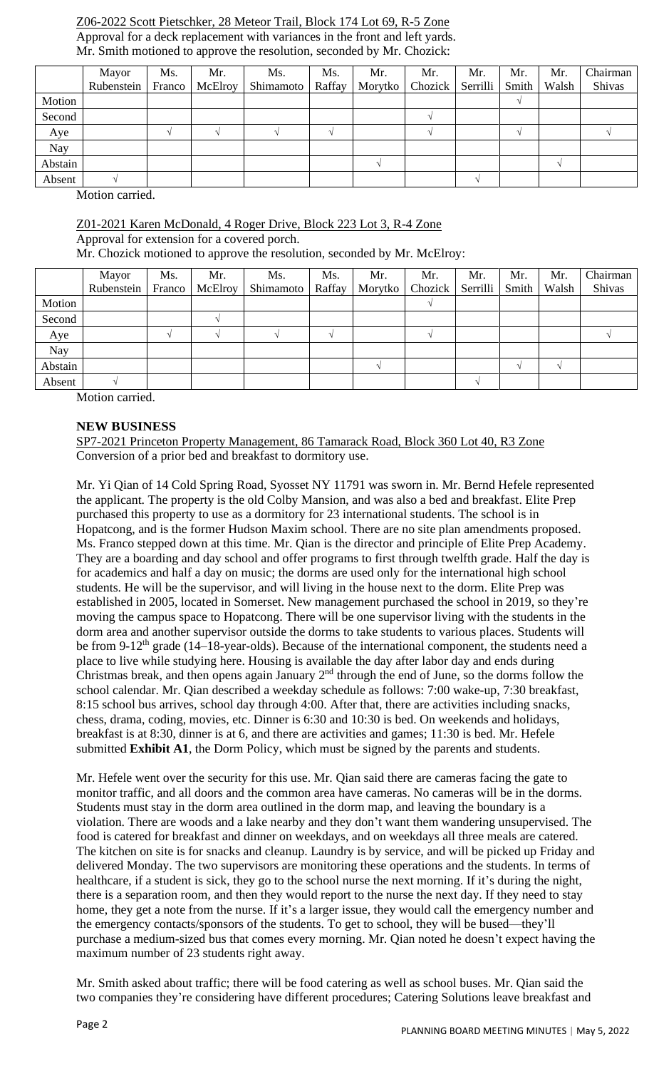## Z06-2022 Scott Pietschker, 28 Meteor Trail, Block 174 Lot 69, R-5 Zone Approval for a deck replacement with variances in the front and left yards. Mr. Smith motioned to approve the resolution, seconded by Mr. Chozick:

|         | Mayor      | Ms.    | Mr.     | Ms.       | Ms.    | Mr.     | Mr.     | Mr.      | Mr.   | Mr.   | Chairman |
|---------|------------|--------|---------|-----------|--------|---------|---------|----------|-------|-------|----------|
|         | Rubenstein | Franco | McElroy | Shimamoto | Raffay | Morytko | Chozick | Serrilli | Smith | Walsh | Shivas   |
| Motion  |            |        |         |           |        |         |         |          |       |       |          |
| Second  |            |        |         |           |        |         |         |          |       |       |          |
| Aye     |            |        |         |           |        |         |         |          |       |       |          |
| Nay     |            |        |         |           |        |         |         |          |       |       |          |
| Abstain |            |        |         |           |        |         |         |          |       |       |          |
| Absent  |            |        |         |           |        |         |         |          |       |       |          |

Motion carried.

## Z01-2021 Karen McDonald, 4 Roger Drive, Block 223 Lot 3, R-4 Zone

Approval for extension for a covered porch.

Mr. Chozick motioned to approve the resolution, seconded by Mr. McElroy:

|         | Mayor      | Ms.    | Mr.     | Ms.       | Ms.    | Mr.     | Mr.                | Mr. | Mr.   | Mr.   | Chairman |
|---------|------------|--------|---------|-----------|--------|---------|--------------------|-----|-------|-------|----------|
|         | Rubenstein | Franco | McElroy | Shimamoto | Raffay | Morytko | Chozick   Serrilli |     | Smith | Walsh | Shivas   |
| Motion  |            |        |         |           |        |         |                    |     |       |       |          |
| Second  |            |        |         |           |        |         |                    |     |       |       |          |
| Aye     |            |        |         |           |        |         |                    |     |       |       |          |
| Nay     |            |        |         |           |        |         |                    |     |       |       |          |
| Abstain |            |        |         |           |        |         |                    |     |       |       |          |
| Absent  |            |        |         |           |        |         |                    |     |       |       |          |

Motion carried.

# **NEW BUSINESS**

SP7-2021 Princeton Property Management, 86 Tamarack Road, Block 360 Lot 40, R3 Zone Conversion of a prior bed and breakfast to dormitory use.

Mr. Yi Qian of 14 Cold Spring Road, Syosset NY 11791 was sworn in. Mr. Bernd Hefele represented the applicant. The property is the old Colby Mansion, and was also a bed and breakfast. Elite Prep purchased this property to use as a dormitory for 23 international students. The school is in Hopatcong, and is the former Hudson Maxim school. There are no site plan amendments proposed. Ms. Franco stepped down at this time. Mr. Qian is the director and principle of Elite Prep Academy. They are a boarding and day school and offer programs to first through twelfth grade. Half the day is for academics and half a day on music; the dorms are used only for the international high school students. He will be the supervisor, and will living in the house next to the dorm. Elite Prep was established in 2005, located in Somerset. New management purchased the school in 2019, so they're moving the campus space to Hopatcong. There will be one supervisor living with the students in the dorm area and another supervisor outside the dorms to take students to various places. Students will be from 9-12<sup>th</sup> grade (14–18-year-olds). Because of the international component, the students need a place to live while studying here. Housing is available the day after labor day and ends during Christmas break, and then opens again January  $2<sup>nd</sup>$  through the end of June, so the dorms follow the school calendar. Mr. Qian described a weekday schedule as follows: 7:00 wake-up, 7:30 breakfast, 8:15 school bus arrives, school day through 4:00. After that, there are activities including snacks, chess, drama, coding, movies, etc. Dinner is 6:30 and 10:30 is bed. On weekends and holidays, breakfast is at 8:30, dinner is at 6, and there are activities and games; 11:30 is bed. Mr. Hefele submitted **Exhibit A1**, the Dorm Policy, which must be signed by the parents and students.

Mr. Hefele went over the security for this use. Mr. Qian said there are cameras facing the gate to monitor traffic, and all doors and the common area have cameras. No cameras will be in the dorms. Students must stay in the dorm area outlined in the dorm map, and leaving the boundary is a violation. There are woods and a lake nearby and they don't want them wandering unsupervised. The food is catered for breakfast and dinner on weekdays, and on weekdays all three meals are catered. The kitchen on site is for snacks and cleanup. Laundry is by service, and will be picked up Friday and delivered Monday. The two supervisors are monitoring these operations and the students. In terms of healthcare, if a student is sick, they go to the school nurse the next morning. If it's during the night, there is a separation room, and then they would report to the nurse the next day. If they need to stay home, they get a note from the nurse. If it's a larger issue, they would call the emergency number and the emergency contacts/sponsors of the students. To get to school, they will be bused—they'll purchase a medium-sized bus that comes every morning. Mr. Qian noted he doesn't expect having the maximum number of 23 students right away.

Mr. Smith asked about traffic; there will be food catering as well as school buses. Mr. Qian said the two companies they're considering have different procedures; Catering Solutions leave breakfast and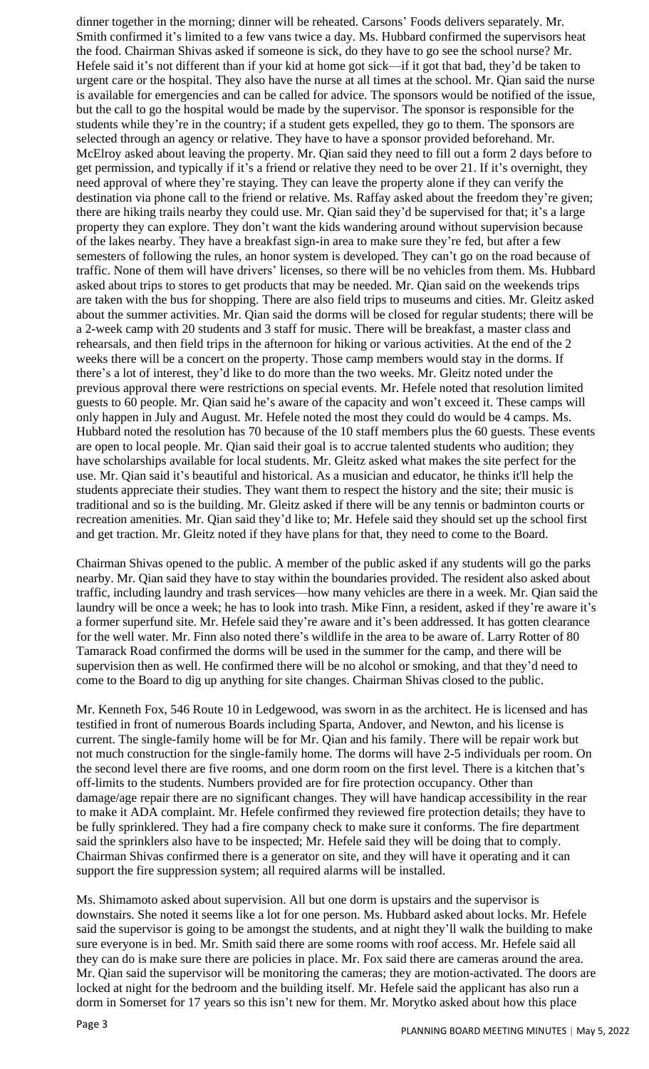dinner together in the morning; dinner will be reheated. Carsons' Foods delivers separately. Mr. Smith confirmed it's limited to a few vans twice a day. Ms. Hubbard confirmed the supervisors heat the food. Chairman Shivas asked if someone is sick, do they have to go see the school nurse? Mr. Hefele said it's not different than if your kid at home got sick—if it got that bad, they'd be taken to urgent care or the hospital. They also have the nurse at all times at the school. Mr. Qian said the nurse is available for emergencies and can be called for advice. The sponsors would be notified of the issue, but the call to go the hospital would be made by the supervisor. The sponsor is responsible for the students while they're in the country; if a student gets expelled, they go to them. The sponsors are selected through an agency or relative. They have to have a sponsor provided beforehand. Mr. McElroy asked about leaving the property. Mr. Qian said they need to fill out a form 2 days before to get permission, and typically if it's a friend or relative they need to be over 21. If it's overnight, they need approval of where they're staying. They can leave the property alone if they can verify the destination via phone call to the friend or relative. Ms. Raffay asked about the freedom they're given; there are hiking trails nearby they could use. Mr. Qian said they'd be supervised for that; it's a large property they can explore. They don't want the kids wandering around without supervision because of the lakes nearby. They have a breakfast sign-in area to make sure they're fed, but after a few semesters of following the rules, an honor system is developed. They can't go on the road because of traffic. None of them will have drivers' licenses, so there will be no vehicles from them. Ms. Hubbard asked about trips to stores to get products that may be needed. Mr. Qian said on the weekends trips are taken with the bus for shopping. There are also field trips to museums and cities. Mr. Gleitz asked about the summer activities. Mr. Qian said the dorms will be closed for regular students; there will be a 2-week camp with 20 students and 3 staff for music. There will be breakfast, a master class and rehearsals, and then field trips in the afternoon for hiking or various activities. At the end of the 2 weeks there will be a concert on the property. Those camp members would stay in the dorms. If there's a lot of interest, they'd like to do more than the two weeks. Mr. Gleitz noted under the previous approval there were restrictions on special events. Mr. Hefele noted that resolution limited guests to 60 people. Mr. Qian said he's aware of the capacity and won't exceed it. These camps will only happen in July and August. Mr. Hefele noted the most they could do would be 4 camps. Ms. Hubbard noted the resolution has 70 because of the 10 staff members plus the 60 guests. These events are open to local people. Mr. Qian said their goal is to accrue talented students who audition; they have scholarships available for local students. Mr. Gleitz asked what makes the site perfect for the use. Mr. Qian said it's beautiful and historical. As a musician and educator, he thinks it'll help the students appreciate their studies. They want them to respect the history and the site; their music is traditional and so is the building. Mr. Gleitz asked if there will be any tennis or badminton courts or recreation amenities. Mr. Qian said they'd like to; Mr. Hefele said they should set up the school first and get traction. Mr. Gleitz noted if they have plans for that, they need to come to the Board.

Chairman Shivas opened to the public. A member of the public asked if any students will go the parks nearby. Mr. Qian said they have to stay within the boundaries provided. The resident also asked about traffic, including laundry and trash services—how many vehicles are there in a week. Mr. Qian said the laundry will be once a week; he has to look into trash. Mike Finn, a resident, asked if they're aware it's a former superfund site. Mr. Hefele said they're aware and it's been addressed. It has gotten clearance for the well water. Mr. Finn also noted there's wildlife in the area to be aware of. Larry Rotter of 80 Tamarack Road confirmed the dorms will be used in the summer for the camp, and there will be supervision then as well. He confirmed there will be no alcohol or smoking, and that they'd need to come to the Board to dig up anything for site changes. Chairman Shivas closed to the public.

Mr. Kenneth Fox, 546 Route 10 in Ledgewood, was sworn in as the architect. He is licensed and has testified in front of numerous Boards including Sparta, Andover, and Newton, and his license is current. The single-family home will be for Mr. Qian and his family. There will be repair work but not much construction for the single-family home. The dorms will have 2-5 individuals per room. On the second level there are five rooms, and one dorm room on the first level. There is a kitchen that's off-limits to the students. Numbers provided are for fire protection occupancy. Other than damage/age repair there are no significant changes. They will have handicap accessibility in the rear to make it ADA complaint. Mr. Hefele confirmed they reviewed fire protection details; they have to be fully sprinklered. They had a fire company check to make sure it conforms. The fire department said the sprinklers also have to be inspected; Mr. Hefele said they will be doing that to comply. Chairman Shivas confirmed there is a generator on site, and they will have it operating and it can support the fire suppression system; all required alarms will be installed.

Ms. Shimamoto asked about supervision. All but one dorm is upstairs and the supervisor is downstairs. She noted it seems like a lot for one person. Ms. Hubbard asked about locks. Mr. Hefele said the supervisor is going to be amongst the students, and at night they'll walk the building to make sure everyone is in bed. Mr. Smith said there are some rooms with roof access. Mr. Hefele said all they can do is make sure there are policies in place. Mr. Fox said there are cameras around the area. Mr. Qian said the supervisor will be monitoring the cameras; they are motion-activated. The doors are locked at night for the bedroom and the building itself. Mr. Hefele said the applicant has also run a dorm in Somerset for 17 years so this isn't new for them. Mr. Morytko asked about how this place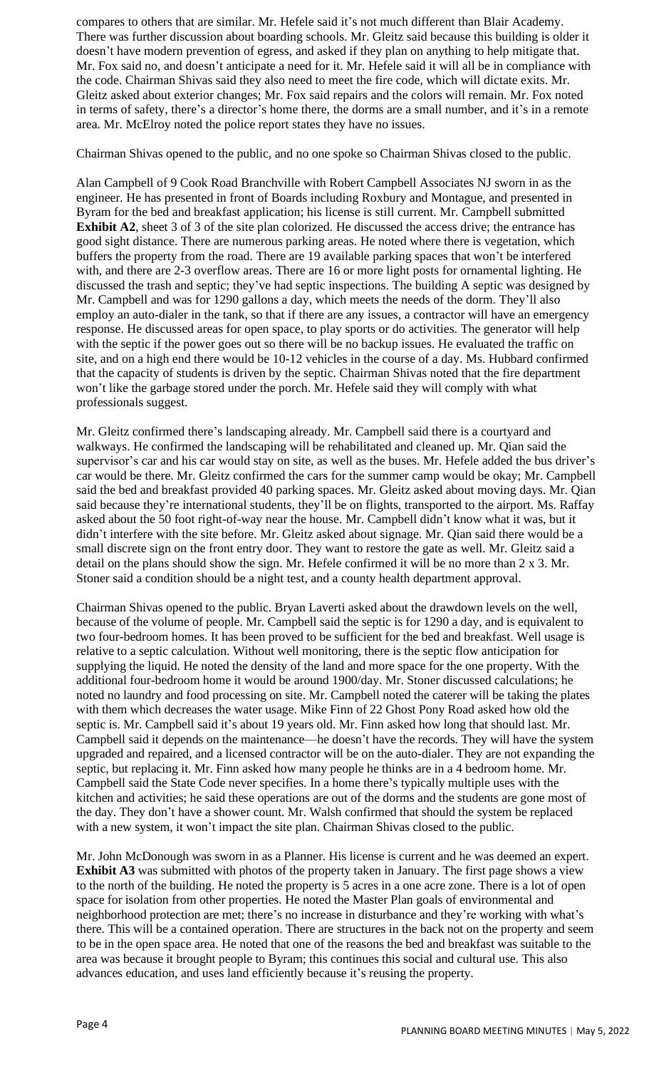compares to others that are similar. Mr. Hefele said it's not much different than Blair Academy. There was further discussion about boarding schools. Mr. Gleitz said because this building is older it doesn't have modern prevention of egress, and asked if they plan on anything to help mitigate that. Mr. Fox said no, and doesn't anticipate a need for it. Mr. Hefele said it will all be in compliance with the code. Chairman Shivas said they also need to meet the fire code, which will dictate exits. Mr. Gleitz asked about exterior changes; Mr. Fox said repairs and the colors will remain. Mr. Fox noted in terms of safety, there's a director's home there, the dorms are a small number, and it's in a remote area. Mr. McElroy noted the police report states they have no issues.

Chairman Shivas opened to the public, and no one spoke so Chairman Shivas closed to the public.

Alan Campbell of 9 Cook Road Branchville with Robert Campbell Associates NJ sworn in as the engineer. He has presented in front of Boards including Roxbury and Montague, and presented in Byram for the bed and breakfast application; his license is still current. Mr. Campbell submitted **Exhibit A2**, sheet 3 of 3 of the site plan colorized. He discussed the access drive; the entrance has good sight distance. There are numerous parking areas. He noted where there is vegetation, which buffers the property from the road. There are 19 available parking spaces that won't be interfered with, and there are 2-3 overflow areas. There are 16 or more light posts for ornamental lighting. He discussed the trash and septic; they've had septic inspections. The building A septic was designed by Mr. Campbell and was for 1290 gallons a day, which meets the needs of the dorm. They'll also employ an auto-dialer in the tank, so that if there are any issues, a contractor will have an emergency response. He discussed areas for open space, to play sports or do activities. The generator will help with the septic if the power goes out so there will be no backup issues. He evaluated the traffic on site, and on a high end there would be 10-12 vehicles in the course of a day. Ms. Hubbard confirmed that the capacity of students is driven by the septic. Chairman Shivas noted that the fire department won't like the garbage stored under the porch. Mr. Hefele said they will comply with what professionals suggest.

Mr. Gleitz confirmed there's landscaping already. Mr. Campbell said there is a courtyard and walkways. He confirmed the landscaping will be rehabilitated and cleaned up. Mr. Qian said the supervisor's car and his car would stay on site, as well as the buses. Mr. Hefele added the bus driver's car would be there. Mr. Gleitz confirmed the cars for the summer camp would be okay; Mr. Campbell said the bed and breakfast provided 40 parking spaces. Mr. Gleitz asked about moving days. Mr. Qian said because they're international students, they'll be on flights, transported to the airport. Ms. Raffay asked about the 50 foot right-of-way near the house. Mr. Campbell didn't know what it was, but it didn't interfere with the site before. Mr. Gleitz asked about signage. Mr. Qian said there would be a small discrete sign on the front entry door. They want to restore the gate as well. Mr. Gleitz said a detail on the plans should show the sign. Mr. Hefele confirmed it will be no more than 2 x 3. Mr. Stoner said a condition should be a night test, and a county health department approval.

Chairman Shivas opened to the public. Bryan Laverti asked about the drawdown levels on the well, because of the volume of people. Mr. Campbell said the septic is for 1290 a day, and is equivalent to two four-bedroom homes. It has been proved to be sufficient for the bed and breakfast. Well usage is relative to a septic calculation. Without well monitoring, there is the septic flow anticipation for supplying the liquid. He noted the density of the land and more space for the one property. With the additional four-bedroom home it would be around 1900/day. Mr. Stoner discussed calculations; he noted no laundry and food processing on site. Mr. Campbell noted the caterer will be taking the plates with them which decreases the water usage. Mike Finn of 22 Ghost Pony Road asked how old the septic is. Mr. Campbell said it's about 19 years old. Mr. Finn asked how long that should last. Mr. Campbell said it depends on the maintenance—he doesn't have the records. They will have the system upgraded and repaired, and a licensed contractor will be on the auto-dialer. They are not expanding the septic, but replacing it. Mr. Finn asked how many people he thinks are in a 4 bedroom home. Mr. Campbell said the State Code never specifies. In a home there's typically multiple uses with the kitchen and activities; he said these operations are out of the dorms and the students are gone most of the day. They don't have a shower count. Mr. Walsh confirmed that should the system be replaced with a new system, it won't impact the site plan. Chairman Shivas closed to the public.

Mr. John McDonough was sworn in as a Planner. His license is current and he was deemed an expert. **Exhibit A3** was submitted with photos of the property taken in January. The first page shows a view to the north of the building. He noted the property is 5 acres in a one acre zone. There is a lot of open space for isolation from other properties. He noted the Master Plan goals of environmental and neighborhood protection are met; there's no increase in disturbance and they're working with what's there. This will be a contained operation. There are structures in the back not on the property and seem to be in the open space area. He noted that one of the reasons the bed and breakfast was suitable to the area was because it brought people to Byram; this continues this social and cultural use. This also advances education, and uses land efficiently because it's reusing the property.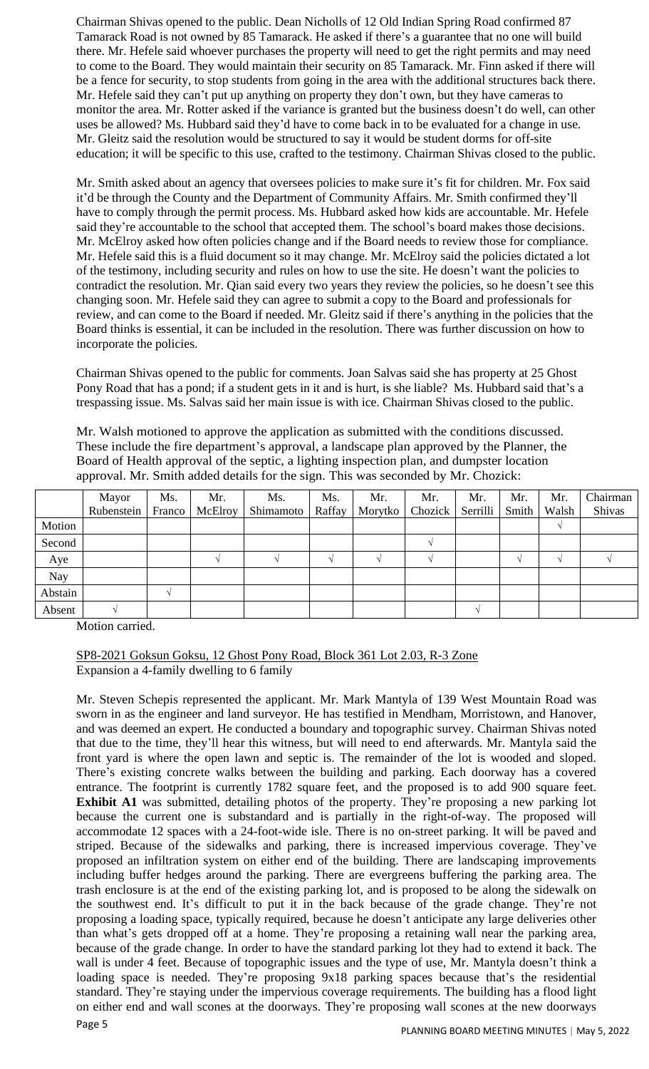Chairman Shivas opened to the public. Dean Nicholls of 12 Old Indian Spring Road confirmed 87 Tamarack Road is not owned by 85 Tamarack. He asked if there's a guarantee that no one will build there. Mr. Hefele said whoever purchases the property will need to get the right permits and may need to come to the Board. They would maintain their security on 85 Tamarack. Mr. Finn asked if there will be a fence for security, to stop students from going in the area with the additional structures back there. Mr. Hefele said they can't put up anything on property they don't own, but they have cameras to monitor the area. Mr. Rotter asked if the variance is granted but the business doesn't do well, can other uses be allowed? Ms. Hubbard said they'd have to come back in to be evaluated for a change in use. Mr. Gleitz said the resolution would be structured to say it would be student dorms for off-site education; it will be specific to this use, crafted to the testimony. Chairman Shivas closed to the public.

Mr. Smith asked about an agency that oversees policies to make sure it's fit for children. Mr. Fox said it'd be through the County and the Department of Community Affairs. Mr. Smith confirmed they'll have to comply through the permit process. Ms. Hubbard asked how kids are accountable. Mr. Hefele said they're accountable to the school that accepted them. The school's board makes those decisions. Mr. McElroy asked how often policies change and if the Board needs to review those for compliance. Mr. Hefele said this is a fluid document so it may change. Mr. McElroy said the policies dictated a lot of the testimony, including security and rules on how to use the site. He doesn't want the policies to contradict the resolution. Mr. Qian said every two years they review the policies, so he doesn't see this changing soon. Mr. Hefele said they can agree to submit a copy to the Board and professionals for review, and can come to the Board if needed. Mr. Gleitz said if there's anything in the policies that the Board thinks is essential, it can be included in the resolution. There was further discussion on how to incorporate the policies.

Chairman Shivas opened to the public for comments. Joan Salvas said she has property at 25 Ghost Pony Road that has a pond; if a student gets in it and is hurt, is she liable? Ms. Hubbard said that's a trespassing issue. Ms. Salvas said her main issue is with ice. Chairman Shivas closed to the public.

Mr. Walsh motioned to approve the application as submitted with the conditions discussed. These include the fire department's approval, a landscape plan approved by the Planner, the Board of Health approval of the septic, a lighting inspection plan, and dumpster location approval. Mr. Smith added details for the sign. This was seconded by Mr. Chozick:

|         | Mayor      | Ms.    | Mr.     | Ms.       | Ms.    | Mr.     | Mr.     | Mr.      | Mr.   | Mr.   | Chairman |
|---------|------------|--------|---------|-----------|--------|---------|---------|----------|-------|-------|----------|
|         | Rubenstein | Franco | McElroy | Shimamoto | Raffay | Morytko | Chozick | Serrilli | Smith | Walsh | Shivas   |
| Motion  |            |        |         |           |        |         |         |          |       |       |          |
| Second  |            |        |         |           |        |         |         |          |       |       |          |
| Aye     |            |        |         |           |        |         |         |          |       |       |          |
| Nay     |            |        |         |           |        |         |         |          |       |       |          |
| Abstain |            |        |         |           |        |         |         |          |       |       |          |
| Absent  |            |        |         |           |        |         |         |          |       |       |          |

Motion carried.

SP8-2021 Goksun Goksu, 12 Ghost Pony Road, Block 361 Lot 2.03, R-3 Zone Expansion a 4-family dwelling to 6 family

Mr. Steven Schepis represented the applicant. Mr. Mark Mantyla of 139 West Mountain Road was sworn in as the engineer and land surveyor. He has testified in Mendham, Morristown, and Hanover, and was deemed an expert. He conducted a boundary and topographic survey. Chairman Shivas noted that due to the time, they'll hear this witness, but will need to end afterwards. Mr. Mantyla said the front yard is where the open lawn and septic is. The remainder of the lot is wooded and sloped. There's existing concrete walks between the building and parking. Each doorway has a covered entrance. The footprint is currently 1782 square feet, and the proposed is to add 900 square feet. **Exhibit A1** was submitted, detailing photos of the property. They're proposing a new parking lot because the current one is substandard and is partially in the right-of-way. The proposed will accommodate 12 spaces with a 24-foot-wide isle. There is no on-street parking. It will be paved and striped. Because of the sidewalks and parking, there is increased impervious coverage. They've proposed an infiltration system on either end of the building. There are landscaping improvements including buffer hedges around the parking. There are evergreens buffering the parking area. The trash enclosure is at the end of the existing parking lot, and is proposed to be along the sidewalk on the southwest end. It's difficult to put it in the back because of the grade change. They're not proposing a loading space, typically required, because he doesn't anticipate any large deliveries other than what's gets dropped off at a home. They're proposing a retaining wall near the parking area, because of the grade change. In order to have the standard parking lot they had to extend it back. The wall is under 4 feet. Because of topographic issues and the type of use, Mr. Mantyla doesn't think a loading space is needed. They're proposing 9x18 parking spaces because that's the residential standard. They're staying under the impervious coverage requirements. The building has a flood light on either end and wall scones at the doorways. They're proposing wall scones at the new doorways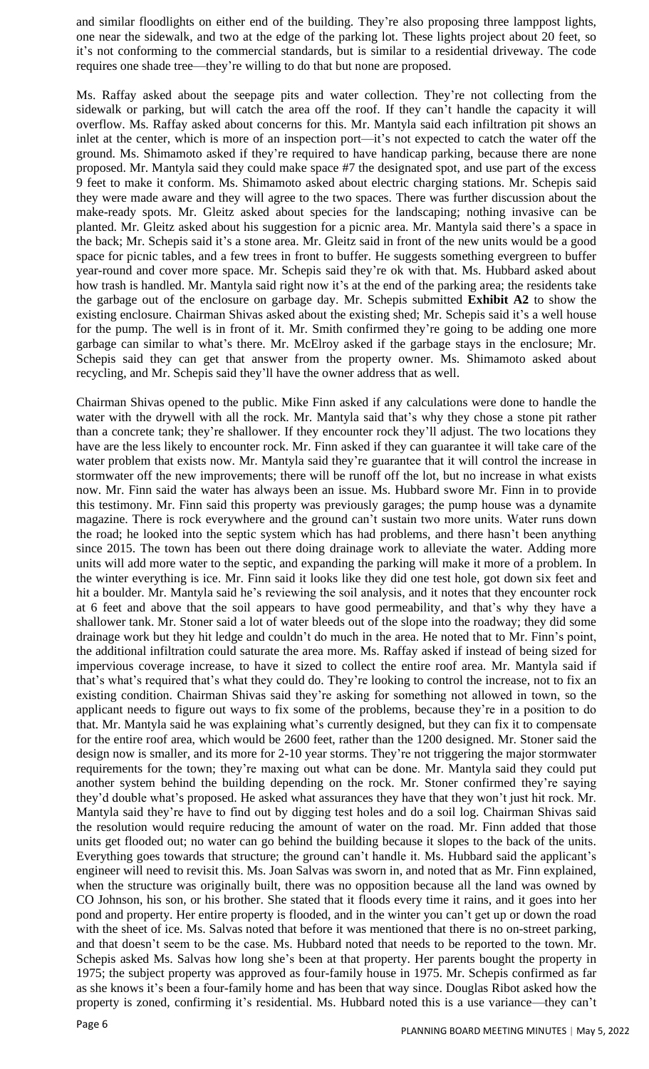and similar floodlights on either end of the building. They're also proposing three lamppost lights, one near the sidewalk, and two at the edge of the parking lot. These lights project about 20 feet, so it's not conforming to the commercial standards, but is similar to a residential driveway. The code requires one shade tree—they're willing to do that but none are proposed.

Ms. Raffay asked about the seepage pits and water collection. They're not collecting from the sidewalk or parking, but will catch the area off the roof. If they can't handle the capacity it will overflow. Ms. Raffay asked about concerns for this. Mr. Mantyla said each infiltration pit shows an inlet at the center, which is more of an inspection port—it's not expected to catch the water off the ground. Ms. Shimamoto asked if they're required to have handicap parking, because there are none proposed. Mr. Mantyla said they could make space #7 the designated spot, and use part of the excess 9 feet to make it conform. Ms. Shimamoto asked about electric charging stations. Mr. Schepis said they were made aware and they will agree to the two spaces. There was further discussion about the make-ready spots. Mr. Gleitz asked about species for the landscaping; nothing invasive can be planted. Mr. Gleitz asked about his suggestion for a picnic area. Mr. Mantyla said there's a space in the back; Mr. Schepis said it's a stone area. Mr. Gleitz said in front of the new units would be a good space for picnic tables, and a few trees in front to buffer. He suggests something evergreen to buffer year-round and cover more space. Mr. Schepis said they're ok with that. Ms. Hubbard asked about how trash is handled. Mr. Mantyla said right now it's at the end of the parking area; the residents take the garbage out of the enclosure on garbage day. Mr. Schepis submitted **Exhibit A2** to show the existing enclosure. Chairman Shivas asked about the existing shed; Mr. Schepis said it's a well house for the pump. The well is in front of it. Mr. Smith confirmed they're going to be adding one more garbage can similar to what's there. Mr. McElroy asked if the garbage stays in the enclosure; Mr. Schepis said they can get that answer from the property owner. Ms. Shimamoto asked about recycling, and Mr. Schepis said they'll have the owner address that as well.

Chairman Shivas opened to the public. Mike Finn asked if any calculations were done to handle the water with the drywell with all the rock. Mr. Mantyla said that's why they chose a stone pit rather than a concrete tank; they're shallower. If they encounter rock they'll adjust. The two locations they have are the less likely to encounter rock. Mr. Finn asked if they can guarantee it will take care of the water problem that exists now. Mr. Mantyla said they're guarantee that it will control the increase in stormwater off the new improvements; there will be runoff off the lot, but no increase in what exists now. Mr. Finn said the water has always been an issue. Ms. Hubbard swore Mr. Finn in to provide this testimony. Mr. Finn said this property was previously garages; the pump house was a dynamite magazine. There is rock everywhere and the ground can't sustain two more units. Water runs down the road; he looked into the septic system which has had problems, and there hasn't been anything since 2015. The town has been out there doing drainage work to alleviate the water. Adding more units will add more water to the septic, and expanding the parking will make it more of a problem. In the winter everything is ice. Mr. Finn said it looks like they did one test hole, got down six feet and hit a boulder. Mr. Mantyla said he's reviewing the soil analysis, and it notes that they encounter rock at 6 feet and above that the soil appears to have good permeability, and that's why they have a shallower tank. Mr. Stoner said a lot of water bleeds out of the slope into the roadway; they did some drainage work but they hit ledge and couldn't do much in the area. He noted that to Mr. Finn's point, the additional infiltration could saturate the area more. Ms. Raffay asked if instead of being sized for impervious coverage increase, to have it sized to collect the entire roof area. Mr. Mantyla said if that's what's required that's what they could do. They're looking to control the increase, not to fix an existing condition. Chairman Shivas said they're asking for something not allowed in town, so the applicant needs to figure out ways to fix some of the problems, because they're in a position to do that. Mr. Mantyla said he was explaining what's currently designed, but they can fix it to compensate for the entire roof area, which would be 2600 feet, rather than the 1200 designed. Mr. Stoner said the design now is smaller, and its more for 2-10 year storms. They're not triggering the major stormwater requirements for the town; they're maxing out what can be done. Mr. Mantyla said they could put another system behind the building depending on the rock. Mr. Stoner confirmed they're saying they'd double what's proposed. He asked what assurances they have that they won't just hit rock. Mr. Mantyla said they're have to find out by digging test holes and do a soil log. Chairman Shivas said the resolution would require reducing the amount of water on the road. Mr. Finn added that those units get flooded out; no water can go behind the building because it slopes to the back of the units. Everything goes towards that structure; the ground can't handle it. Ms. Hubbard said the applicant's engineer will need to revisit this. Ms. Joan Salvas was sworn in, and noted that as Mr. Finn explained, when the structure was originally built, there was no opposition because all the land was owned by CO Johnson, his son, or his brother. She stated that it floods every time it rains, and it goes into her pond and property. Her entire property is flooded, and in the winter you can't get up or down the road with the sheet of ice. Ms. Salvas noted that before it was mentioned that there is no on-street parking, and that doesn't seem to be the case. Ms. Hubbard noted that needs to be reported to the town. Mr. Schepis asked Ms. Salvas how long she's been at that property. Her parents bought the property in 1975; the subject property was approved as four-family house in 1975. Mr. Schepis confirmed as far as she knows it's been a four-family home and has been that way since. Douglas Ribot asked how the property is zoned, confirming it's residential. Ms. Hubbard noted this is a use variance—they can't